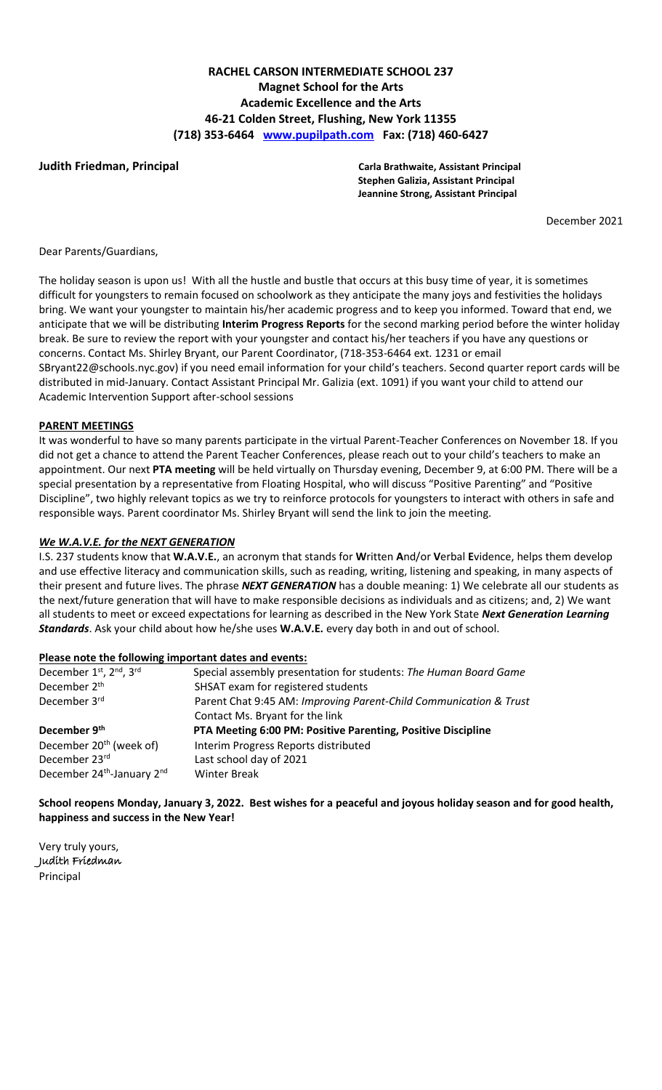# **RACHEL CARSON INTERMEDIATE SCHOOL 237 Magnet School for the Arts Academic Excellence and the Arts 46-21 Colden Street, Flushing, New York 11355 (718) 353-6464 [www.pupilpath.com](http://www.pupilpath.com/) Fax: (718) 460-6427**

**Judith Friedman, Principal Carla Brathwaite, Assistant Principal Stephen Galizia, Assistant Principal Jeannine Strong, Assistant Principal**

December 2021

Dear Parents/Guardians,

The holiday season is upon us! With all the hustle and bustle that occurs at this busy time of year, it is sometimes difficult for youngsters to remain focused on schoolwork as they anticipate the many joys and festivities the holidays bring. We want your youngster to maintain his/her academic progress and to keep you informed. Toward that end, we anticipate that we will be distributing **Interim Progress Reports** for the second marking period before the winter holiday break. Be sure to review the report with your youngster and contact his/her teachers if you have any questions or concerns. Contact Ms. Shirley Bryant, our Parent Coordinator, (718-353-6464 ext. 1231 or email SBryant22@schools.nyc.gov) if you need email information for your child's teachers. Second quarter report cards will be distributed in mid-January. Contact Assistant Principal Mr. Galizia (ext. 1091) if you want your child to attend our Academic Intervention Support after-school sessions

### **PARENT MEETINGS**

It was wonderful to have so many parents participate in the virtual Parent-Teacher Conferences on November 18. If you did not get a chance to attend the Parent Teacher Conferences, please reach out to your child's teachers to make an appointment. Our next **PTA meeting** will be held virtually on Thursday evening, December 9, at 6:00 PM. There will be a special presentation by a representative from Floating Hospital, who will discuss "Positive Parenting" and "Positive Discipline", two highly relevant topics as we try to reinforce protocols for youngsters to interact with others in safe and responsible ways. Parent coordinator Ms. Shirley Bryant will send the link to join the meeting.

# *We W.A.V.E. for the NEXT GENERATION*

I.S. 237 students know that **W.A.V.E.**, an acronym that stands for **W**ritten **A**nd/or **V**erbal **E**vidence, helps them develop and use effective literacy and communication skills, such as reading, writing, listening and speaking, in many aspects of their present and future lives. The phrase *NEXT GENERATION* has a double meaning: 1) We celebrate all our students as the next/future generation that will have to make responsible decisions as individuals and as citizens; and, 2) We want all students to meet or exceed expectations for learning as described in the New York State *Next Generation Learning Standards*. Ask your child about how he/she uses **W.A.V.E.** every day both in and out of school.

# **Please note the following important dates and events:**

| December 1st, 2nd, 3rd              | Special assembly presentation for students: The Human Board Game  |
|-------------------------------------|-------------------------------------------------------------------|
| December 2 <sup>th</sup>            | SHSAT exam for registered students                                |
| December 3rd                        | Parent Chat 9:45 AM: Improving Parent-Child Communication & Trust |
|                                     | Contact Ms. Bryant for the link                                   |
|                                     |                                                                   |
| December 9th                        | PTA Meeting 6:00 PM: Positive Parenting, Positive Discipline      |
| December 20 <sup>th</sup> (week of) | Interim Progress Reports distributed                              |
| December 23rd                       | Last school day of 2021                                           |

**School reopens Monday, January 3, 2022. Best wishes for a peaceful and joyous holiday season and for good health, happiness and success in the New Year!**

Very truly yours, Judith Friedman Principal